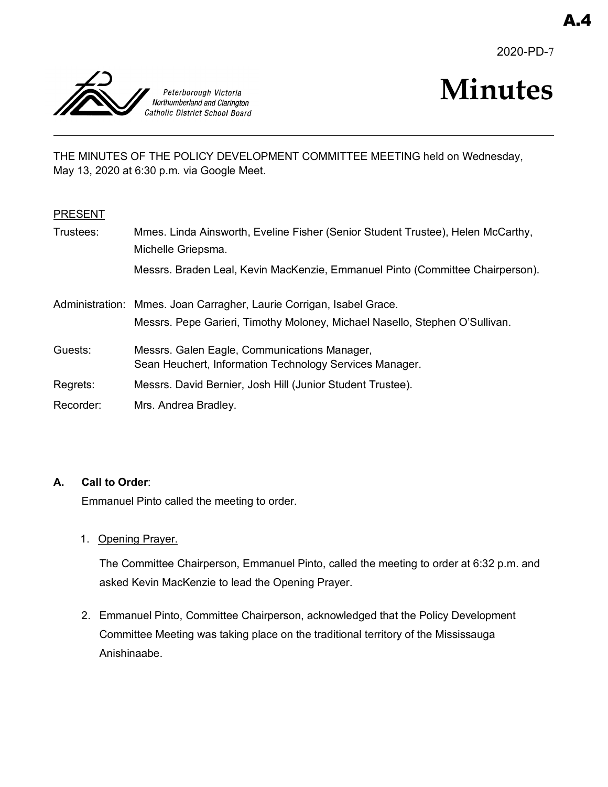2020-PD-7



# **Minutes**

THE MINUTES OF THE POLICY DEVELOPMENT COMMITTEE MEETING held on Wednesday, May 13, 2020 at 6:30 p.m. via Google Meet.

# PRESENT

| Trustees: | Mmes. Linda Ainsworth, Eveline Fisher (Senior Student Trustee), Helen McCarthy,<br>Michelle Griepsma.                                               |
|-----------|-----------------------------------------------------------------------------------------------------------------------------------------------------|
|           | Messrs. Braden Leal, Kevin MacKenzie, Emmanuel Pinto (Committee Chairperson).                                                                       |
|           | Administration: Mmes. Joan Carragher, Laurie Corrigan, Isabel Grace.<br>Messrs. Pepe Garieri, Timothy Moloney, Michael Nasello, Stephen O'Sullivan. |
| Guests:   | Messrs. Galen Eagle, Communications Manager,<br>Sean Heuchert, Information Technology Services Manager.                                             |
| Regrets:  | Messrs. David Bernier, Josh Hill (Junior Student Trustee).                                                                                          |
| Recorder: | Mrs. Andrea Bradley.                                                                                                                                |

# **A. Call to Order**:

Emmanuel Pinto called the meeting to order.

1. Opening Prayer.

The Committee Chairperson, Emmanuel Pinto, called the meeting to order at 6:32 p.m. and asked Kevin MacKenzie to lead the Opening Prayer.

2. Emmanuel Pinto, Committee Chairperson, acknowledged that the Policy Development Committee Meeting was taking place on the traditional territory of the Mississauga Anishinaabe.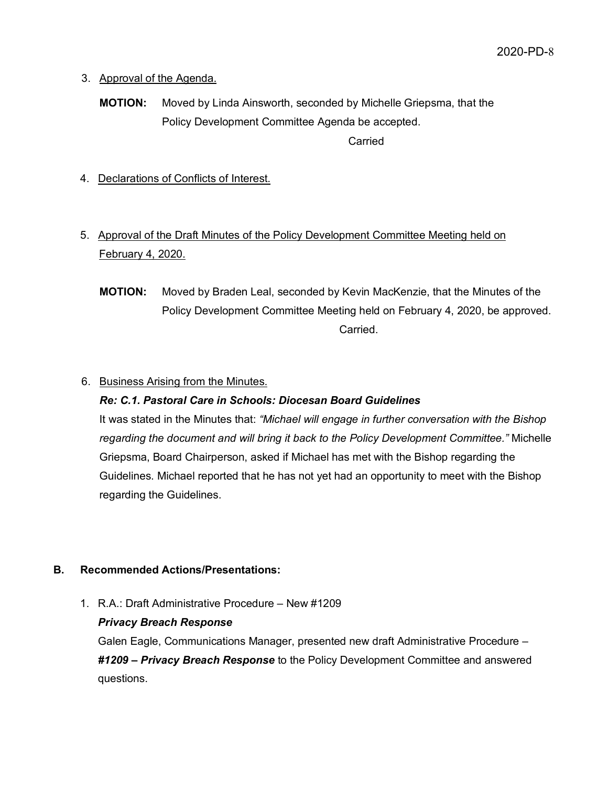- 3. Approval of the Agenda.
	- **MOTION:** Moved by Linda Ainsworth, seconded by Michelle Griepsma, that the Policy Development Committee Agenda be accepted. Carried
- 4. Declarations of Conflicts of Interest.
- 5. Approval of the Draft Minutes of the Policy Development Committee Meeting held on February 4, 2020.
	- **MOTION:** Moved by Braden Leal, seconded by Kevin MacKenzie, that the Minutes of the Policy Development Committee Meeting held on February 4, 2020, be approved. Carried.

# 6. Business Arising from the Minutes.

# *Re: C.1. Pastoral Care in Schools: Diocesan Board Guidelines*

It was stated in the Minutes that: *"Michael will engage in further conversation with the Bishop regarding the document and will bring it back to the Policy Development Committee."* Michelle Griepsma, Board Chairperson, asked if Michael has met with the Bishop regarding the Guidelines. Michael reported that he has not yet had an opportunity to meet with the Bishop regarding the Guidelines.

# **B. Recommended Actions/Presentations:**

1. R.A.: Draft Administrative Procedure – New #1209

# *Privacy Breach Response*

Galen Eagle, Communications Manager, presented new draft Administrative Procedure – *#1209 – Privacy Breach Response* to the Policy Development Committee and answered questions.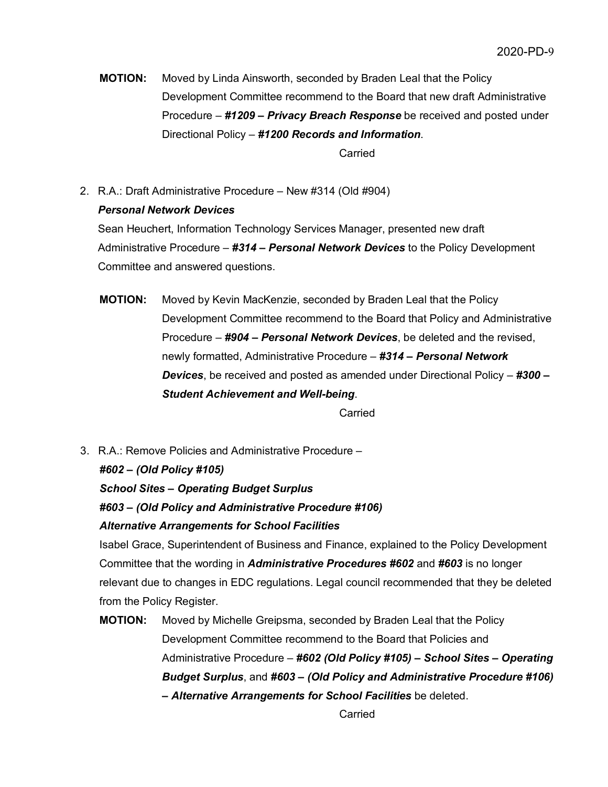**MOTION:** Moved by Linda Ainsworth, seconded by Braden Leal that the Policy Development Committee recommend to the Board that new draft Administrative Procedure – *#1209 – Privacy Breach Response* be received and posted under Directional Policy – *#1200 Records and Information*.

Carried

2. R.A.: Draft Administrative Procedure – New #314 (Old #904)

# *Personal Network Devices*

Sean Heuchert, Information Technology Services Manager, presented new draft Administrative Procedure – *#314 – Personal Network Devices* to the Policy Development Committee and answered questions.

**MOTION:** Moved by Kevin MacKenzie, seconded by Braden Leal that the Policy Development Committee recommend to the Board that Policy and Administrative Procedure – *#904 – Personal Network Devices*, be deleted and the revised, newly formatted, Administrative Procedure – *#314 – Personal Network Devices*, be received and posted as amended under Directional Policy – *#300 – Student Achievement and Well-being*.

Carried

3. R.A.: Remove Policies and Administrative Procedure –

*#602 – (Old Policy #105) School Sites – Operating Budget Surplus #603 – (Old Policy and Administrative Procedure #106) Alternative Arrangements for School Facilities*

Isabel Grace, Superintendent of Business and Finance, explained to the Policy Development Committee that the wording in *Administrative Procedures #602* and *#603* is no longer relevant due to changes in EDC regulations. Legal council recommended that they be deleted from the Policy Register.

**MOTION:** Moved by Michelle Greipsma, seconded by Braden Leal that the Policy Development Committee recommend to the Board that Policies and Administrative Procedure – *#602 (Old Policy #105) – School Sites – Operating Budget Surplus*, and *#603 – (Old Policy and Administrative Procedure #106) – Alternative Arrangements for School Facilities* be deleted.

Carried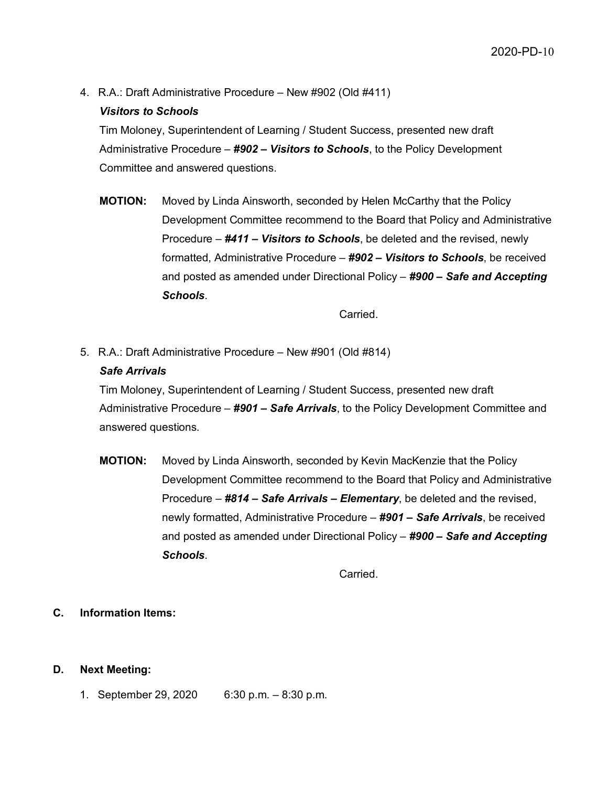4. R.A.: Draft Administrative Procedure – New #902 (Old #411)

# *Visitors to Schools*

Tim Moloney, Superintendent of Learning / Student Success, presented new draft Administrative Procedure – *#902 – Visitors to Schools*, to the Policy Development Committee and answered questions.

**MOTION:** Moved by Linda Ainsworth, seconded by Helen McCarthy that the Policy Development Committee recommend to the Board that Policy and Administrative Procedure – *#411 – Visitors to Schools*, be deleted and the revised, newly formatted, Administrative Procedure – *#902 – Visitors to Schools*, be received and posted as amended under Directional Policy – *#900 – Safe and Accepting Schools*.

Carried.

5. R.A.: Draft Administrative Procedure – New #901 (Old #814)

# *Safe Arrivals*

Tim Moloney, Superintendent of Learning / Student Success, presented new draft Administrative Procedure – *#901 – Safe Arrivals*, to the Policy Development Committee and answered questions.

**MOTION:** Moved by Linda Ainsworth, seconded by Kevin MacKenzie that the Policy Development Committee recommend to the Board that Policy and Administrative Procedure – *#814 – Safe Arrivals – Elementary*, be deleted and the revised, newly formatted, Administrative Procedure – *#901 – Safe Arrivals*, be received and posted as amended under Directional Policy – *#900 – Safe and Accepting Schools*.

Carried.

# **C. Information Items:**

# **D. Next Meeting:**

1. September 29, 2020 6:30 p.m. – 8:30 p.m.